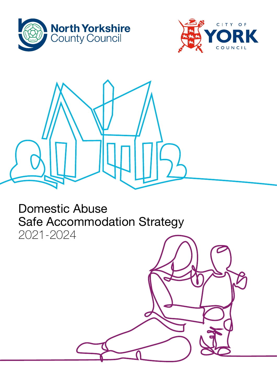





# Domestic Abuse Safe Accommodation Strategy 2021-2024

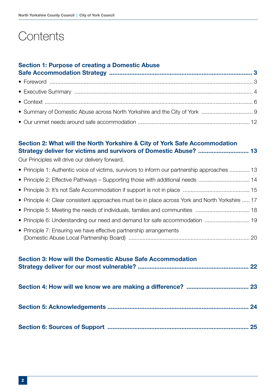# **Contents**

## [Section 1: Purpose of creating a Domestic Abuse](#page-2-0)

### [Section 2: What will the North Yorkshire & City of York Safe Accommodation](#page-12-0)  [Strategy deliver for victims and survivors of Domestic Abuse? ..............................](#page-12-0) 13

Our Principles will drive our delivery forward.

| • Principle 1: Authentic voice of victims, survivors to inform our partnership approaches  13   |  |
|-------------------------------------------------------------------------------------------------|--|
| • Principle 2: Effective Pathways – Supporting those with additional needs  14                  |  |
|                                                                                                 |  |
| • Principle 4: Clear consistent approaches must be in place across York and North Yorkshire  17 |  |
|                                                                                                 |  |
| • Principle 6: Understanding our need and demand for safe accommodation  19                     |  |
| • Principle 7: Ensuring we have effective partnership arrangements                              |  |
|                                                                                                 |  |

| <b>Section 3: How will the Domestic Abuse Safe Accommodation</b> | 22 |
|------------------------------------------------------------------|----|
|                                                                  |    |
|                                                                  | 24 |
|                                                                  | 25 |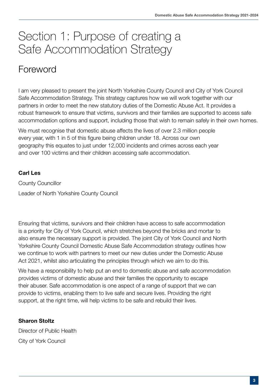# <span id="page-2-0"></span>Section 1: Purpose of creating a Safe Accommodation Strategy

# Foreword

I am very pleased to present the joint North Yorkshire County Council and City of York Council Safe Accommodation Strategy. This strategy captures how we will work together with our partners in order to meet the new statutory duties of the Domestic Abuse Act. It provides a robust framework to ensure that victims, survivors and their families are supported to access safe accommodation options and support, including those that wish to remain safely in their own homes.

We must recognise that domestic abuse affects the lives of over 2.3 million people every year, with 1 in 5 of this figure being children under 18. Across our own geography this equates to just under 12,000 incidents and crimes across each year and over 100 victims and their children accessing safe accommodation.

### Carl Les

County Councillor Leader of North Yorkshire County Council

Ensuring that victims, survivors and their children have access to safe accommodation is a priority for City of York Council, which stretches beyond the bricks and mortar to also ensure the necessary support is provided. The joint City of York Council and North Yorkshire County Council Domestic Abuse Safe Accommodation strategy outlines how we continue to work with partners to meet our new duties under the Domestic Abuse Act 2021, whilst also articulating the principles through which we aim to do this.

We have a responsibility to help put an end to domestic abuse and safe accommodation provides victims of domestic abuse and their families the opportunity to escape their abuser. Safe accommodation is one aspect of a range of support that we can provide to victims, enabling them to live safe and secure lives. Providing the right support, at the right time, will help victims to be safe and rebuild their lives.

### Sharon Stoltz

Director of Public Health City of York Council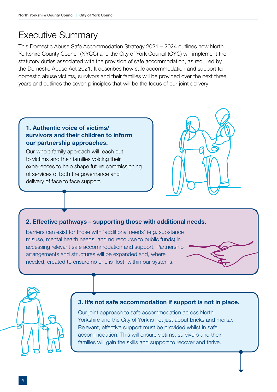## <span id="page-3-0"></span>Executive Summary

This Domestic Abuse Safe Accommodation Strategy 2021 – 2024 outlines how North Yorkshire County Council (NYCC) and the City of York Council (CYC) will implement the statutory duties associated with the provision of safe accommodation, as required by the Domestic Abuse Act 2021. It describes how safe accommodation and support for domestic abuse victims, survivors and their families will be provided over the next three years and outlines the seven principles that will be the focus of our joint delivery;

### 1. Authentic voice of victims/ survivors and their children to inform our partnership approaches.

Our whole family approach will reach out to victims and their families voicing their experiences to help shape future commissioning of services of both the governance and delivery of face to face support.



#### 2. Effective pathways – supporting those with additional needs.

Barriers can exist for those with 'additional needs' (e.g. substance misuse, mental health needs, and no recourse to public funds) in accessing relevant safe accommodation and support. Partnership arrangements and structures will be expanded and, where needed, created to ensure no one is 'lost' within our systems.





#### 3. It's not safe accommodation if support is not in place.

Our joint approach to safe accommodation across North Yorkshire and the City of York is not just about bricks and mortar. Relevant, effective support must be provided whilst in safe accommodation. This will ensure victims, survivors and their families will gain the skills and support to recover and thrive.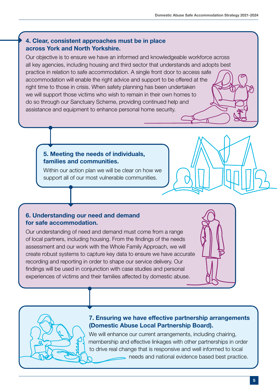#### 4. Clear, consistent approaches must be in place across York and North Yorkshire.

Our objective is to ensure we have an informed and knowledgeable workforce across all key agencies, including housing and third sector that understands and adopts best practice in relation to safe accommodation. A single front door to access safe accommodation will enable the right advice and support to be offered at the right time to those in crisis. When safety planning has been undertaken we will support those victims who wish to remain in their own homes to do so through our Sanctuary Scheme, providing continued help and assistance and equipment to enhance personal home security.

#### 5. Meeting the needs of individuals, families and communities.

Within our action plan we will be clear on how we support all of our most vulnerable communities.

#### 6. Understanding our need and demand for safe accommodation.

Our understanding of need and demand must come from a range of local partners, including housing. From the findings of the needs assessment and our work with the Whole Family Approach, we will create robust systems to capture key data to ensure we have accurate recording and reporting in order to shape our service delivery. Our findings will be used in conjunction with case studies and personal experiences of victims and their families affected by domestic abuse.





#### 7. Ensuring we have effective partnership arrangements (Domestic Abuse Local Partnership Board).

We will enhance our current arrangements, including chairing, membership and effective linkages with other partnerships in order to drive real change that is responsive and well informed to local needs and national evidence based best practice.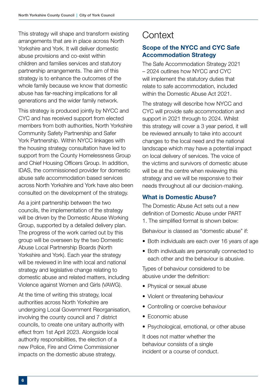<span id="page-5-0"></span>This strategy will shape and transform existing arrangements that are in place across North Yorkshire and York. It will deliver domestic abuse provisions and co-exist within children and families services and statutory partnership arrangements. The aim of this strategy is to enhance the outcomes of the whole family because we know that domestic abuse has far-reaching implications for all generations and the wider family network.

This strategy is produced jointly by NYCC and CYC and has received support from elected members from both authorities, North Yorkshire Community Safety Partnership and Safer York Partnership. Within NYCC linkages with the housing strategy consultation have led to support from the County Homelessness Group and Chief Housing Officers Group. In addition, IDAS, the commissioned provider for domestic abuse safe accommodation based services across North Yorkshire and York have also been consulted on the development of the strategy.

As a joint partnership between the two councils, the implementation of the strategy will be driven by the Domestic Abuse Working Group, supported by a detailed delivery plan. The progress of the work carried out by this group will be overseen by the two Domestic Abuse Local Partnership Boards (North Yorkshire and York). Each year the strategy will be reviewed in line with local and national strategy and legislative change relating to domestic abuse and related matters, including Violence against Women and Girls (VAWG).

At the time of writing this strategy, local authorities across North Yorkshire are undergoing Local Government Reorganisation, involving the county council and 7 district councils, to create one unitary authority with effect from 1st April 2023. Alongside local authority responsibilities, the election of a new Police, Fire and Crime Commissioner impacts on the domestic abuse strategy.

## **Context**

### Scope of the NYCC and CYC Safe Accommodation Strategy

The Safe Accommodation Strategy 2021 – 2024 outlines how NYCC and CYC will implement the statutory duties that relate to safe accommodation, included within the Domestic Abuse Act 2021.

The strategy will describe how NYCC and CYC will provide safe accommodation and support in 2021 through to 2024. Whilst this strategy will cover a 3 year period, it will be reviewed annually to take into account changes to the local need and the national landscape which may have a potential impact on local delivery of services. The voice of the victims and survivors of domestic abuse will be at the centre when reviewing this strategy and we will be responsive to their needs throughout all our decision-making.

### What is Domestic Abuse?

The Domestic Abuse Act sets out a new definition of Domestic Abuse under PART 1. The simplified format is shown below:

Behaviour is classed as "domestic abuse" if:

- Both individuals are each over 16 years of age
- Both individuals are personally connected to each other and the behaviour is abusive.

Types of behaviour considered to be abusive under the definition:

- Physical or sexual abuse
- Violent or threatening behaviour
- Controlling or coercive behaviour
- Economic abuse
- Psychological, emotional, or other abuse

It does not matter whether the behaviour consists of a single incident or a course of conduct.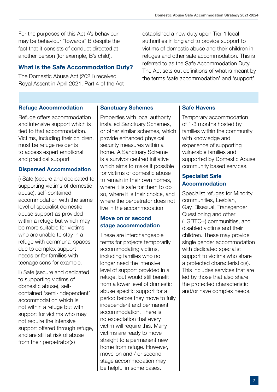For the purposes of this Act A's behaviour may be behaviour "towards" B despite the fact that it consists of conduct directed at another person (for example, B's child).

### What is the Safe Accommodation Duty?

The Domestic Abuse Act (2021) received Royal Assent in April 2021. Part 4 of the Act

Refuge Accommodation

Refuge offers accommodation and intensive support which is tied to that accommodation. Victims, including their children, must be refuge residents to access expert emotional and practical support

#### Dispersed Accommodation

i) Safe (secure and dedicated to supporting victims of domestic abuse), self-contained accommodation with the same level of specialist domestic abuse support as provided within a refuge but which may be more suitable for victims who are unable to stay in a refuge with communal spaces due to complex support needs or for families with teenage sons for example.

ii) Safe (secure and dedicated to supporting victims of domestic abuse), selfcontained 'semi-independent' accommodation which is not within a refuge but with support for victims who may not require the intensive support offered through refuge, and are still at risk of abuse from their perpetrator(s)

#### Sanctuary Schemes

Properties with local authority installed Sanctuary Schemes, or other similar schemes, which provide enhanced physical security measures within a home. A Sanctuary Scheme is a survivor centred initiative which aims to make it possible for victims of domestic abuse to remain in their own homes, where it is safe for them to do so, where it is their choice, and where the perpetrator does not live in the accommodation.

#### Move on or second stage accommodation

These are interchangeable terms for projects temporarily accommodating victims, including families who no longer need the intensive level of support provided in a refuge, but would still benefit from a lower level of domestic abuse specific support for a period before they move to fully independent and permanent accommodation. There is no expectation that every victim will require this. Many victims are ready to move straight to a permanent new home from refuge. However, move-on and / or second stage accommodation may be helpful in some cases.

authorities in England to provide support to victims of domestic abuse and their children in refuges and other safe accommodation. This is referred to as the Safe Accommodation Duty. The Act sets out definitions of what is meant by the terms 'safe accommodation' and 'support'.

established a new duty upon Tier 1 local

#### Safe Havens

Temporary accommodation of 1-3 months hosted by families within the community with knowledge and experience of supporting vulnerable families and supported by Domestic Abuse community based services.

#### Specialist Safe Accommodation

Specialist refuges for Minority communities, Lesbian, Gay, Bisexual, Transgender Questioning and other (LGBTQ+) communities, and disabled victims and their children. These may provide single gender accommodation with dedicated specialist support to victims who share a protected characteristic(s). This includes services that are led by those that also share the protected characteristic and/or have complex needs.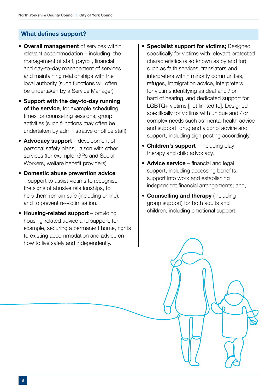#### What defines support?

- Overall management of services within relevant accommodation – including, the management of staff, payroll, financial and day-to-day management of services and maintaining relationships with the local authority (such functions will often be undertaken by a Service Manager)
- Support with the day-to-day running of the service, for example scheduling times for counselling sessions, group activities (such functions may often be undertaken by administrative or office staff)
- Advocacy support development of personal safety plans, liaison with other services (for example, GPs and Social Workers, welfare benefit providers)
- Domestic abuse prevention advice – support to assist victims to recognise the signs of abusive relationships, to help them remain safe (including online), and to prevent re-victimisation.
- Housing-related support providing housing-related advice and support, for example, securing a permanent home, rights to existing accommodation and advice on how to live safely and independently.
- Specialist support for victims; Designed specifically for victims with relevant protected characteristics (also known as by and for), such as faith services, translators and interpreters within minority communities, refuges, immigration advice, interpreters for victims identifying as deaf and / or hard of hearing, and dedicated support for LGBTQ+ victims [not limited to]. Designed specifically for victims with unique and / or complex needs such as mental health advice and support, drug and alcohol advice and support, including sign posting accordingly.
- Children's support including play therapy and child advocacy.
- **Advice service** financial and legal support, including accessing benefits, support into work and establishing independent financial arrangements; and,
- Counselling and therapy (including group support) for both adults and children, including emotional support.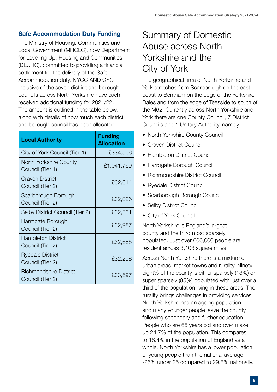## <span id="page-8-0"></span>Safe Accommodation Duty Funding

The Ministry of Housing, Communities and Local Government (MHCLG), now Department for Levelling Up, Housing and Communities (DLUHC), committed to providing a financial settlement for the delivery of the Safe Accommodation duty. NYCC AND CYC inclusive of the seven district and borough councils across North Yorkshire have each received additional funding for 2021/22. The amount is outlined in the table below, along with details of how much each district and borough council has been allocated.

| <b>Local Authority</b>                            | <b>Funding</b><br><b>Allocation</b> |
|---------------------------------------------------|-------------------------------------|
| City of York Council (Tier 1)                     | £334,506                            |
| North Yorkshire County<br>Council (Tier 1)        | £1,041,769                          |
| Craven District<br>Council (Tier 2)               | £32,614                             |
| Scarborough Borough<br>Council (Tier 2)           | £32,026                             |
| Selby District Council (Tier 2)                   | £32,831                             |
| Harrogate Borough<br>Council (Tier 2)             | £32,987                             |
| <b>Hambleton District</b><br>Council (Tier 2)     | £32,685                             |
| <b>Ryedale District</b><br>Council (Tier 2)       | £32,298                             |
| <b>Richmondshire District</b><br>Council (Tier 2) | £33,697                             |

# Summary of Domestic Abuse across North Yorkshire and the City of York

The geographical area of North Yorkshire and York stretches from Scarborough on the east coast to Bentham on the edge of the Yorkshire Dales and from the edge of Teesside to south of the M62. Currently across North Yorkshire and York there are one County Council, 7 District Councils and 1 Unitary Authority, namely;

- North Yorkshire County Council
- Craven District Council
- Hambleton District Council
- Harrogate Borough Council
- Richmondshire District Council
- Ryedale District Council
- Scarborough Borough Council
- Selby District Council
- City of York Council.

North Yorkshire is England's largest county and the third most sparsely populated. Just over 600,000 people are resident across 3,103 square miles.

Across North Yorkshire there is a mixture of urban areas, market towns and rurality. Ninetyeight% of the county is either sparsely (13%) or super sparsely (85%) populated with just over a third of the population living in these areas. The rurality brings challenges in providing services. North Yorkshire has an ageing population and many younger people leave the county following secondary and further education. People who are 65 years old and over make up 24.7% of the population. This compares to 18.4% in the population of England as a whole. North Yorkshire has a lower population of young people than the national average -25% under 25 compared to 29.8% nationally.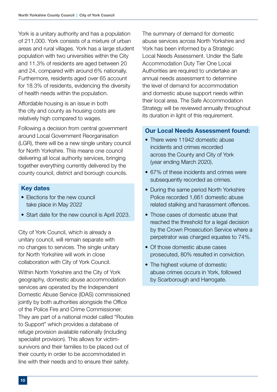York is a unitary authority and has a population of 211,000. York consists of a mixture of urban areas and rural villages. York has a large student population with two universities within the City and 11.3% of residents are aged between 20 and 24, compared with around 6% nationally. Furthermore, residents aged over 65 account for 18.3% of residents, evidencing the diversity of health needs within the population.

Affordable housing is an issue in both the city and county as housing costs are relatively high compared to wages.

Following a decision from central government around Local Government Reorganisation (LGR), there will be a new single unitary council for North Yorkshire. This means one council delivering all local authority services, bringing together everything currently delivered by the county council, district and borough councils.

#### Key dates

- Elections for the new council take place in May 2022
- Start date for the new council is April 2023.

City of York Council, which is already a unitary council, will remain separate with no changes to services. The single unitary for North Yorkshire will work in close collaboration with City of York Council.

Within North Yorkshire and the City of York geography, domestic abuse accommodation services are operated by the Independent Domestic Abuse Service (IDAS) commissioned jointly by both authorities alongside the Office of the Police Fire and Crime Commissioner. They are part of a national model called "Routes to Support" which provides a database of refuge provision available nationally (including specialist provision). This allows for victimsurvivors and their families to be placed out of their county in order to be accommodated in line with their needs and to ensure their safety.

The summary of demand for domestic abuse services across North Yorkshire and York has been informed by a Strategic Local Needs Assessment. Under the Safe Accommodation Duty Tier One Local Authorities are required to undertake an annual needs assessment to determine the level of demand for accommodation and domestic abuse support needs within their local area. The Safe Accommodation Strategy will be reviewed annually throughout its duration in light of this requirement.

#### Our Local Needs Assessment found:

- There were 11942 domestic abuse incidents and crimes recorded across the County and City of York (year ending March 2020).
- 67% of these incidents and crimes were subsequently recorded as crimes.
- During the same period North Yorkshire Police recorded 1,661 domestic abuse related stalking and harassment offences.
- Those cases of domestic abuse that reached the threshold for a legal decision by the Crown Prosecution Service where a perpetrator was charged equates to 74%.
- Of those domestic abuse cases prosecuted, 80% resulted in conviction.
- The highest volume of domestic abuse crimes occurs in York, followed by Scarborough and Harrogate.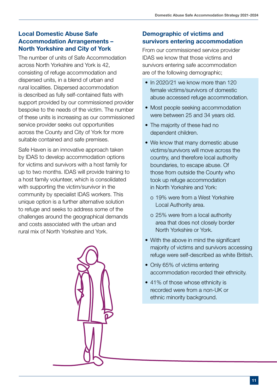### Local Domestic Abuse Safe Accommodation Arrangements – North Yorkshire and City of York

The number of units of Safe Accommodation across North Yorkshire and York is 42, consisting of refuge accommodation and dispersed units, in a blend of urban and rural localities. Dispersed accommodation is described as fully self-contained flats with support provided by our commissioned provider bespoke to the needs of the victim. The number of these units is increasing as our commissioned service provider seeks out opportunities across the County and City of York for more suitable contained and safe premises.

Safe Haven is an innovative approach taken by IDAS to develop accommodation options for victims and survivors with a host family for up to two months. IDAS will provide training to a host family volunteer, which is consolidated with supporting the victim/survivor in the community by specialist IDAS workers. This unique option is a further alternative solution to refuge and seeks to address some of the challenges around the geographical demands and costs associated with the urban and rural mix of North Yorkshire and York.



### Demographic of victims and survivors entering accommodation

From our commissioned service provider IDAS we know that those victims and survivors entering safe accommodation are of the following demographic;

- In 2020/21 we know more than 120 female victims/survivors of domestic abuse accessed refuge accommodation.
- Most people seeking accommodation were between 25 and 34 years old.
- The majority of these had no dependent children.
- We know that many domestic abuse victims/survivors will move across the country, and therefore local authority boundaries, to escape abuse. Of those from outside the County who took up refuge accommodation in North Yorkshire and York:
	- o 19% were from a West Yorkshire Local Authority area.
	- o 25% were from a local authority area that does not closely border North Yorkshire or York.
- With the above in mind the significant majority of victims and survivors accessing refuge were self-described as white British.
- Only 65% of victims entering accommodation recorded their ethnicity.
- 41% of those whose ethnicity is recorded were from a non-UK or ethnic minority background.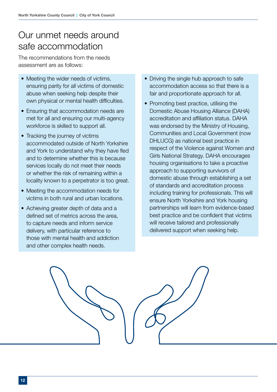# <span id="page-11-0"></span>Our unmet needs around safe accommodation

The recommendations from the needs assessment are as follows:

- Meeting the wider needs of victims, ensuring parity for all victims of domestic abuse when seeking help despite their own physical or mental health difficulties.
- Ensuring that accommodation needs are met for all and ensuring our multi-agency workforce is skilled to support all.
- Tracking the journey of victims accommodated outside of North Yorkshire and York to understand why they have fled and to determine whether this is because services locally do not meet their needs or whether the risk of remaining within a locality known to a perpetrator is too great.
- Meeting the accommodation needs for victims in both rural and urban locations.
- Achieving greater depth of data and a defined set of metrics across the area, to capture needs and inform service delivery, with particular reference to those with mental health and addiction and other complex health needs.
- Driving the single hub approach to safe accommodation access so that there is a fair and proportionate approach for all.
- Promoting best practice, utilising the Domestic Abuse Housing Alliance (DAHA) accreditation and affiliation status. DAHA was endorsed by the Ministry of Housing, Communities and Local Government (now DHLUCG) as national best practice in respect of the Violence against Women and Girls National Strategy. DAHA encourages housing organisations to take a proactive approach to supporting survivors of domestic abuse through establishing a set of standards and accreditation process including training for professionals. This will ensure North Yorkshire and York housing partnerships will learn from evidence-based best practice and be confident that victims will receive tailored and professionally delivered support when seeking help.

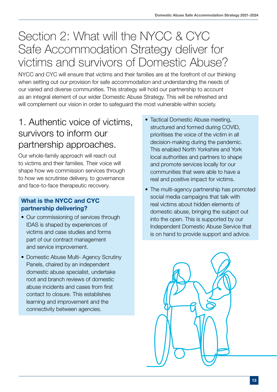# <span id="page-12-0"></span>Section 2: What will the NYCC & CYC Safe Accommodation Strategy deliver for victims and survivors of Domestic Abuse?

NYCC and CYC will ensure that victims and their families are at the forefront of our thinking when setting out our provision for safe accommodation and understanding the needs of our varied and diverse communities. This strategy will hold our partnership to account as an integral element of our wider Domestic Abuse Strategy. This will be refreshed and will complement our vision in order to safeguard the most vulnerable within society.

# 1. Authentic voice of victims, survivors to inform our partnership approaches.

Our whole-family approach will reach out to victims and their families. Their voice will shape how we commission services through to how we scrutinise delivery, to governance and face-to-face therapeutic recovery.

### What is the NYCC and CYC partnership delivering?

- Our commissioning of services through IDAS is shaped by experiences of victims and case studies and forms part of our contract management and service improvement.
- Domestic Abuse Multi- Agency Scrutiny Panels, chaired by an independent domestic abuse specialist, undertake root and branch reviews of domestic abuse incidents and cases from first contact to closure. This establishes learning and improvement and the connectivity between agencies.
- Tactical Domestic Abuse meeting, structured and formed during COVID, prioritises the voice of the victim in all decision-making during the pandemic. This enabled North Yorkshire and York local authorities and partners to shape and promote services locally for our communities that were able to have a real and positive impact for victims.
- The multi-agency partnership has promoted social media campaigns that talk with real victims about hidden elements of domestic abuse, bringing the subject out into the open. This is supported by our Independent Domestic Abuse Service that is on hand to provide support and advice.

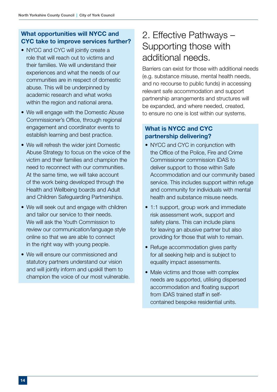- <span id="page-13-0"></span>• NYCC and CYC will jointly create a role that will reach out to victims and their families. We will understand their experiences and what the needs of our communities are in respect of domestic abuse. This will be underpinned by academic research and what works within the region and national arena.
- We will engage with the Domestic Abuse Commissioner's Office, through regional engagement and coordinator events to establish learning and best practice.
- We will refresh the wider joint Domestic Abuse Strategy to focus on the voice of the victim and their families and champion the need to reconnect with our communities. At the same time, we will take account of the work being developed through the Health and Wellbeing boards and Adult and Children Safeguarding Partnerships.
- We will seek out and engage with children and tailor our service to their needs. We will ask the Youth Commission to review our communication/language style online so that we are able to connect in the right way with young people.
- We will ensure our commissioned and statutory partners understand our vision and will jointly inform and upskill them to champion the voice of our most vulnerable.

# 2. Effective Pathways – Supporting those with additional needs.

Barriers can exist for those with additional needs (e.g. substance misuse, mental health needs, and no recourse to public funds) in accessing relevant safe accommodation and support partnership arrangements and structures will be expanded, and where needed, created, to ensure no one is lost within our systems.

### What is NYCC and CYC partnership delivering?

- NYCC and CYC in conjunction with the Office of the Police, Fire and Crime Commissioner commission IDAS to deliver support to those within Safe Accommodation and our community based service. This includes support within refuge and community for individuals with mental health and substance misuse needs.
- 1:1 support, group work and immediate risk assessment work, support and safety plans. This can include plans for leaving an abusive partner but also providing for those that wish to remain.
- Refuge accommodation gives parity for all seeking help and is subject to equality impact assessments.
- Male victims and those with complex needs are supported, utilising dispersed accommodation and floating support from IDAS trained staff in selfcontained bespoke residential units.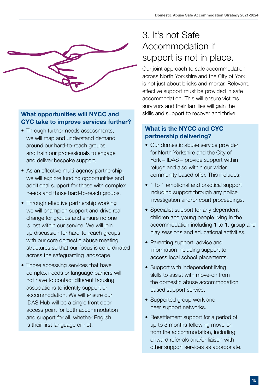<span id="page-14-0"></span>

- Through further needs assessments. we will map and understand demand around our hard-to-reach groups and train our professionals to engage and deliver bespoke support.
- As an effective multi-agency partnership, we will explore funding opportunities and additional support for those with complex needs and those hard-to-reach groups.
- Through effective partnership working we will champion support and drive real change for groups and ensure no one is lost within our service. We will join up discussion for hard-to-reach groups with our core domestic abuse meeting structures so that our focus is co-ordinated across the safeguarding landscape.
- Those accessing services that have complex needs or language barriers will not have to contact different housing associations to identify support or accommodation. We will ensure our IDAS Hub will be a single front door access point for both accommodation and support for all, whether English is their first language or not.

# 3. It's not Safe Accommodation if support is not in place.

Our joint approach to safe accommodation across North Yorkshire and the City of York is not just about bricks and mortar. Relevant, effective support must be provided in safe accommodation. This will ensure victims, survivors and their families will gain the skills and support to recover and thrive.

## What is the NYCC and CYC partnership delivering?

- Our domestic abuse service provider for North Yorkshire and the City of York – IDAS – provide support within refuge and also within our wider community based offer. This includes:
- 1 to 1 emotional and practical support including support through any police investigation and/or court proceedings.
- Specialist support for any dependent children and young people living in the accommodation including 1 to 1, group and play sessions and educational activities.
- Parenting support, advice and information including support to access local school placements.
- Support with independent living skills to assist with move-on from the domestic abuse accommodation based support service.
- Supported group work and peer support networks.
- Resettlement support for a period of up to 3 months following move-on from the accommodation, including onward referrals and/or liaison with other support services as appropriate.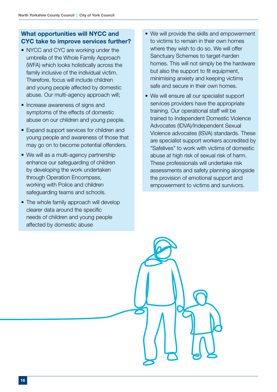- NYCC and CYC are working under the umbrella of the Whole Family Approach (WFA) which looks holistically across the family inclusive of the individual victim. Therefore, focus will include children and young people affected by domestic abuse. Our multi-agency approach will;
- Increase awareness of signs and symptoms of the effects of domestic abuse on our children and young people.
- Expand support services for children and young people and awareness of those that may go on to become potential offenders.
- We will as a multi-agency partnership enhance our safeguarding of children by developing the work undertaken through Operation Encompass, working with Police and children safeguarding teams and schools.
- The whole family approach will develop clearer data around the specific needs of children and young people affected by domestic abuse
- We will provide the skills and empowerment to victims to remain in their own homes where they wish to do so. We will offer Sanctuary Schemes to target-harden homes. This will not simply be the hardware but also the support to fit equipment, minimising anxiety and keeping victims safe and secure in their own homes.
- We will ensure all our specialist support services providers have the appropriate training. Our operational staff will be trained to Independent Domestic Violence Advocates (IDVA)/Independent Sexual Violence advocates (ISVA) standards. These are specialist support workers accredited by "Safelives" to work with victims of domestic abuse at high risk of sexual risk of harm. These professionals will undertake risk assessments and safety planning alongside the provision of emotional support and empowerment to victims and survivors.

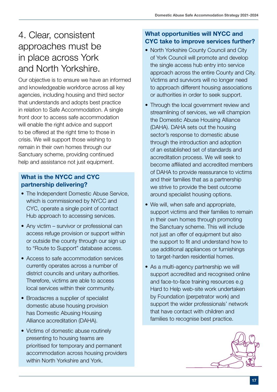# <span id="page-16-0"></span>4. Clear, consistent approaches must be in place across York and North Yorkshire.

Our objective is to ensure we have an informed and knowledgeable workforce across all key agencies, including housing and third sector that understands and adopts best practice in relation to Safe Accommodation. A single front door to access safe accommodation will enable the right advice and support to be offered at the right time to those in crisis. We will support those wishing to remain in their own homes through our Sanctuary scheme, providing continued help and assistance not just equipment.

### What is the NYCC and CYC partnership delivering?

- The Independent Domestic Abuse Service, which is commissioned by NYCC and CYC, operate a single point of contact Hub approach to accessing services.
- Any victim survivor or professional can access refuge provision or support within or outside the county through our sign up to "Route to Support" database access.
- Access to safe accommodation services currently operates across a number of district councils and unitary authorities. Therefore, victims are able to access local services within their community.
- Broadacres a supplier of specialist domestic abuse housing provision has Domestic Abusing Housing Alliance accreditation (DAHA).
- Victims of domestic abuse routinely presenting to housing teams are prioritised for temporary and permanent accommodation across housing providers within North Yorkshire and York.

## What opportunities will NYCC and CYC take to improve services further?

- North Yorkshire County Council and City of York Council will promote and develop the single access hub entry into service approach across the entire County and City. Victims and survivors will no longer need to approach different housing associations or authorities in order to seek support.
- Through the local government review and streamlining of services, we will champion the Domestic Abuse Housing Alliance (DAHA). DAHA sets out the housing sector's response to domestic abuse through the introduction and adoption of an established set of standards and accreditation process. We will seek to become affiliated and accredited members of DAHA to provide reassurance to victims and their families that as a partnership we strive to provide the best outcome around specialist housing options.
- We will, when safe and appropriate, support victims and their families to remain in their own homes through promoting the Sanctuary scheme. This will include not just an offer of equipment but also the support to fit and understand how to use additional appliances or furnishings to target-harden residential homes.
- As a multi-agency partnership we will support accredited and recognised online and face-to-face training resources e.g Hard to Help web-site work undertaken by Foundation (perpetrator work) and support the wider professionals' network that have contact with children and families to recognise best practice.

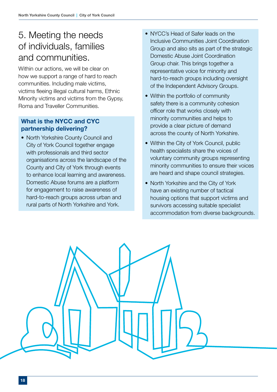# <span id="page-17-0"></span>5. Meeting the needs of individuals, families and communities.

Within our actions, we will be clear on how we support a range of hard to reach communities. Including male victims, victims fleeing illegal cultural harms, Ethnic Minority victims and victims from the Gypsy, Roma and Traveller Communities.

### What is the NYCC and CYC partnership delivering?

• North Yorkshire County Council and City of York Council together engage with professionals and third sector organisations across the landscape of the County and City of York through events to enhance local learning and awareness. Domestic Abuse forums are a platform for engagement to raise awareness of hard-to-reach groups across urban and rural parts of North Yorkshire and York.

- NYCC's Head of Safer leads on the Inclusive Communities Joint Coordination Group and also sits as part of the strategic Domestic Abuse Joint Coordination Group chair. This brings together a representative voice for minority and hard-to-reach groups including oversight of the Independent Advisory Groups.
- Within the portfolio of community safety there is a community cohesion officer role that works closely with minority communities and helps to provide a clear picture of demand across the county of North Yorkshire.
- Within the City of York Council, public health specialists share the voices of voluntary community groups representing minority communities to ensure their voices are heard and shape council strategies.
- North Yorkshire and the City of York have an existing number of tactical housing options that support victims and survivors accessing suitable specialist accommodation from diverse backgrounds.

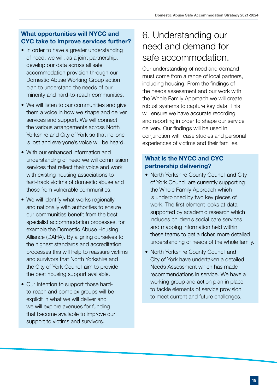- <span id="page-18-0"></span>• In order to have a greater understanding of need, we will, as a joint partnership, develop our data across all safe accommodation provision through our Domestic Abuse Working Group action plan to understand the needs of our minority and hard-to-reach communities.
- We will listen to our communities and give them a voice in how we shape and deliver services and support. We will connect the various arrangements across North Yorkshire and City of York so that no-one is lost and everyone's voice will be heard.
- With our enhanced information and understanding of need we will commission services that reflect their voice and work with existing housing associations to fast-track victims of domestic abuse and those from vulnerable communities.
- We will identify what works regionally and nationally with authorities to ensure our communities benefit from the best specialist accommodation processes, for example the Domestic Abuse Housing Alliance (DAHA). By aligning ourselves to the highest standards and accreditation processes this will help to reassure victims and survivors that North Yorkshire and the City of York Council aim to provide the best housing support available.
- Our intention to support those hardto-reach and complex groups will be explicit in what we will deliver and we will explore avenues for funding that become available to improve our support to victims and survivors.

## 6. Understanding our need and demand for safe accommodation.

Our understanding of need and demand must come from a range of local partners, including housing. From the findings of the needs assessment and our work with the Whole Family Approach we will create robust systems to capture key data. This will ensure we have accurate recording and reporting in order to shape our service delivery. Our findings will be used in conjunction with case studies and personal experiences of victims and their families.

### What is the NYCC and CYC partnership delivering?

- North Yorkshire County Council and City of York Council are currently supporting the Whole Family Approach which is underpinned by two key pieces of work. The first element looks at data supported by academic research which includes children's social care services and mapping information held within these teams to get a richer, more detailed understanding of needs of the whole family.
- North Yorkshire County Council and City of York have undertaken a detailed Needs Assessment which has made recommendations in service. We have a working group and action plan in place to tackle elements of service provision to meet current and future challenges.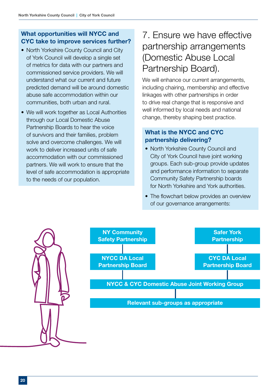- <span id="page-19-0"></span>• North Yorkshire County Council and City of York Council will develop a single set of metrics for data with our partners and commissioned service providers. We will understand what our current and future predicted demand will be around domestic abuse safe accommodation within our communities, both urban and rural.
- We will work together as Local Authorities through our Local Domestic Abuse Partnership Boards to hear the voice of survivors and their families, problem solve and overcome challenges. We will work to deliver increased units of safe accommodation with our commissioned partners. We will work to ensure that the level of safe accommodation is appropriate to the needs of our population.

# 7. Ensure we have effective partnership arrangements (Domestic Abuse Local Partnership Board).

We will enhance our current arrangements, including chairing, membership and effective linkages with other partnerships in order to drive real change that is responsive and well informed by local needs and national change, thereby shaping best practice.

### What is the NYCC and CYC partnership delivering?

- North Yorkshire County Council and City of York Council have joint working groups. Each sub-group provide updates and performance information to separate Community Safety Partnership boards for North Yorkshire and York authorities.
- The flowchart below provides an overview of our governance arrangements:

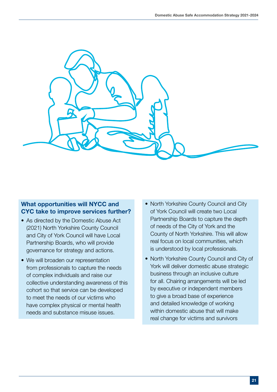

- As directed by the Domestic Abuse Act (2021) North Yorkshire County Council and City of York Council will have Local Partnership Boards, who will provide governance for strategy and actions.
- We will broaden our representation from professionals to capture the needs of complex individuals and raise our collective understanding awareness of this cohort so that service can be developed to meet the needs of our victims who have complex physical or mental health needs and substance misuse issues.
- North Yorkshire County Council and City of York Council will create two Local Partnership Boards to capture the depth of needs of the City of York and the County of North Yorkshire. This will allow real focus on local communities, which is understood by local professionals.
- North Yorkshire County Council and City of York will deliver domestic abuse strategic business through an inclusive culture for all. Chairing arrangements will be led by executive or independent members to give a broad base of experience and detailed knowledge of working within domestic abuse that will make real change for victims and survivors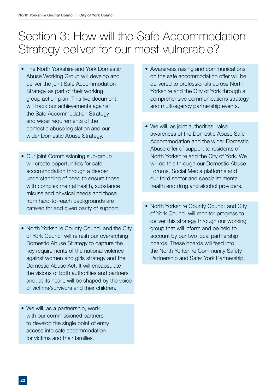# <span id="page-21-0"></span>Section 3: How will the Safe Accommodation Strategy deliver for our most vulnerable?

- The North Yorkshire and York Domestic Abuse Working Group will develop and deliver the joint Safe Accommodation Strategy as part of their working group action plan. This live document will track our achievements against the Safe Accommodation Strategy and wider requirements of the domestic abuse legislation and our wider Domestic Abuse Strategy.
- Our joint Commissioning sub-group will create opportunities for safe accommodation through a deeper understanding of need to ensure those with complex mental health, substance misuse and physical needs and those from hard-to-reach backgrounds are catered for and given parity of support.
- North Yorkshire County Council and the City of York Council will refresh our overarching Domestic Abuse Strategy to capture the key requirements of the national violence against women and girls strategy and the Domestic Abuse Act. It will encapsulate the visions of both authorities and partners and, at its heart, will be shaped by the voice of victims/survivors and their children.
- We will, as a partnership, work with our commissioned partners to develop the single point of entry access into safe accommodation for victims and their families.
- Awareness raising and communications on the safe accommodation offer will be delivered to professionals across North Yorkshire and the City of York through a comprehensive communications strategy and multi-agency partnership events.
- We will, as joint authorities, raise awareness of the Domestic Abuse Safe Accommodation and the wider Domestic Abuse offer of support to residents of North Yorkshire and the City of York. We will do this through our Domestic Abuse Forums, Social Media platforms and our third sector and specialist mental health and drug and alcohol providers.
- North Yorkshire County Council and City of York Council will monitor progress to deliver this strategy through our working group that will inform and be held to account by our two local partnership boards. These boards will feed into the North Yorkshire Community Safety Partnership and Safer York Partnership.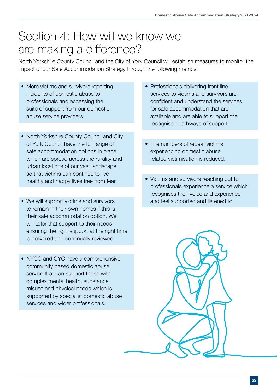# <span id="page-22-0"></span>Section 4: How will we know we are making a difference?

North Yorkshire County Council and the City of York Council will establish measures to monitor the impact of our Safe Accommodation Strategy through the following metrics:

- More victims and survivors reporting incidents of domestic abuse to professionals and accessing the suite of support from our domestic abuse service providers.
- North Yorkshire County Council and City of York Council have the full range of safe accommodation options in place which are spread across the rurality and urban locations of our vast landscape so that victims can continue to live healthy and happy lives free from fear.
- We will support victims and survivors to remain in their own homes if this is their safe accommodation option. We will tailor that support to their needs ensuring the right support at the right time is delivered and continually reviewed.
- NYCC and CYC have a comprehensive community based domestic abuse service that can support those with complex mental health, substance misuse and physical needs which is supported by specialist domestic abuse services and wider professionals.
- Professionals delivering front line services to victims and survivors are confident and understand the services for safe accommodation that are available and are able to support the recognised pathways of support.
- The numbers of repeat victims experiencing domestic abuse related victimisation is reduced.
- Victims and survivors reaching out to professionals experience a service which recognises their voice and experience and feel supported and listened to.

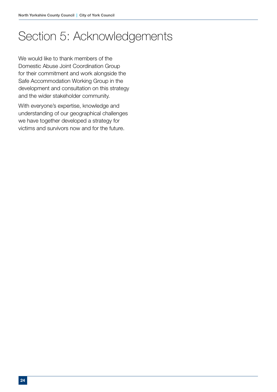# <span id="page-23-0"></span>Section 5: Acknowledgements

We would like to thank members of the Domestic Abuse Joint Coordination Group for their commitment and work alongside the Safe Accommodation Working Group in the development and consultation on this strategy and the wider stakeholder community.

With everyone's expertise, knowledge and understanding of our geographical challenges we have together developed a strategy for victims and survivors now and for the future.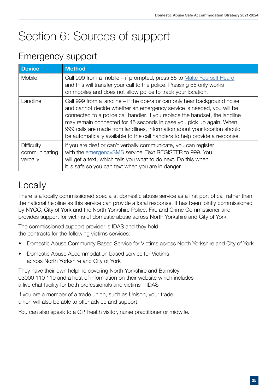# <span id="page-24-0"></span>Section 6: Sources of support

## Emergency support

| <b>Device</b>                           | <b>Method</b>                                                                                                                                                                                                                                                                                                                                                                                                                                                         |
|-----------------------------------------|-----------------------------------------------------------------------------------------------------------------------------------------------------------------------------------------------------------------------------------------------------------------------------------------------------------------------------------------------------------------------------------------------------------------------------------------------------------------------|
| Mobile                                  | Call 999 from a mobile – if prompted, press 55 to Make Yourself Heard<br>and this will transfer your call to the police. Pressing 55 only works<br>on mobiles and does not allow police to track your location.                                                                                                                                                                                                                                                       |
| Landline                                | Call 999 from a landline – if the operator can only hear background noise<br>and cannot decide whether an emergency service is needed, you will be<br>connected to a police call handler. If you replace the handset, the landline<br>may remain connected for 45 seconds in case you pick up again. When<br>999 calls are made from landlines, information about your location should<br>be automatically available to the call handlers to help provide a response. |
| Difficulty<br>communicating<br>verbally | If you are deaf or can't verbally communicate, you can register<br>with the emergencySMS service. Text REGISTER to 999. You<br>will get a text, which tells you what to do next. Do this when<br>it is safe so you can text when you are in danger.                                                                                                                                                                                                                   |

# **Locally**

There is a locally commissioned specialist domestic abuse service as a first port of call rather than the national helpline as this service can provide a local response. It has been jointly commissioned by NYCC, City of York and the North Yorkshire Police, Fire and Crime Commissioner and provides support for victims of domestic abuse across North Yorkshire and City of York.

The commissioned support provider is IDAS and they hold the contracts for the following victims services:

- Domestic Abuse Community Based Service for Victims across North Yorkshire and City of York
- Domestic Abuse Accommodation based service for Victims across North Yorkshire and City of York

They have their own helpline covering North Yorkshire and Barnsley – 03000 110 110 and a host of information on their website which includes a live chat facility for both professionals and victims – IDAS

If you are a member of a trade union, such as Unison, your trade union will also be able to offer advice and support.

You can also speak to a GP, health visitor, nurse practitioner or midwife.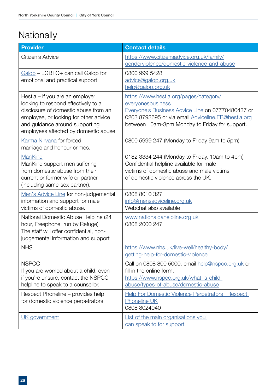# **Nationally**

| <b>Provider</b>                                                                                                                                                                                                                   | <b>Contact details</b>                                                                                                                                                                                                   |
|-----------------------------------------------------------------------------------------------------------------------------------------------------------------------------------------------------------------------------------|--------------------------------------------------------------------------------------------------------------------------------------------------------------------------------------------------------------------------|
| Citizen's Advice                                                                                                                                                                                                                  | https://www.citizensadvice.org.uk/family/<br>genderviolence/domestic-violence-and-abuse                                                                                                                                  |
| $Galop - LGBTQ + can call Galop for$<br>emotional and practical support                                                                                                                                                           | 0800 999 5428<br>advice@galop.org.uk<br>help@galop.org.uk                                                                                                                                                                |
| Hestia – If you are an employer<br>looking to respond effectively to a<br>disclosure of domestic abuse from an<br>employee, or looking for other advice<br>and guidance around supporting<br>employees affected by domestic abuse | https://www.hestia.org/pages/category/<br>everyonesbusiness<br>Everyone's Business Advice Line on 07770480437 or<br>0203 8793695 or via email Adviceline.EB@hestia.org<br>between 10am-3pm Monday to Friday for support. |
| Karma Nirvana for forced<br>marriage and honour crimes.                                                                                                                                                                           | 0800 5999 247 (Monday to Friday 9am to 5pm)                                                                                                                                                                              |
| ManKind<br>ManKind support men suffering<br>from domestic abuse from their<br>current or former wife or partner<br>(including same-sex partner).                                                                                  | 0182 3334 244 (Monday to Friday, 10am to 4pm)<br>Confidential helpline available for male<br>victims of domestic abuse and male victims<br>of domestic violence across the UK.                                           |
| Men's Advice Line for non-judgemental<br>information and support for male<br>victims of domestic abuse.                                                                                                                           | 0808 8010 327<br>info@mensadviceline.org.uk<br>Webchat also available                                                                                                                                                    |
| National Domestic Abuse Helpline (24<br>hour, Freephone, run by Refuge)<br>The staff will offer confidential, non-<br>judgemental information and support                                                                         | www.nationaldahelpline.org.uk<br>0808 2000 247                                                                                                                                                                           |
| <b>NHS</b>                                                                                                                                                                                                                        | https://www.nhs.uk/live-well/healthy-body/<br>getting-help-for-domestic-violence                                                                                                                                         |
| <b>NSPCC</b><br>If you are worried about a child, even<br>if you're unsure, contact the NSPCC<br>helpline to speak to a counsellor.                                                                                               | Call on 0808 800 5000, email help@nspcc.org.uk or<br>fill in the online form.<br>https://www.nspcc.org.uk/what-is-child-<br>abuse/types-of-abuse/domestic-abuse                                                          |
| Respect Phoneline – provides help<br>for domestic violence perpetrators                                                                                                                                                           | <b>Help For Domestic Violence Perpetrators   Respect</b><br><b>Phoneline UK</b><br>0808 8024040                                                                                                                          |
| UK government                                                                                                                                                                                                                     | List of the main organisations you<br>can speak to for support.                                                                                                                                                          |